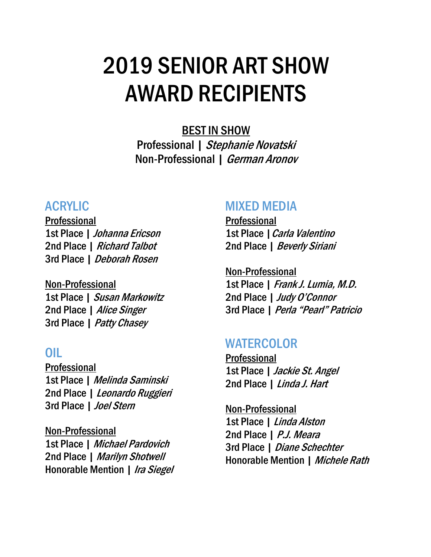# 2019 SENIOR ART SHOW AWARD RECIPIENTS

BEST IN SHOW Professional | Stephanie Novatski Non-Professional | German Aronov

#### ACRYLIC

Professional 1st Place | Johanna Ericson 2nd Place | Richard Talbot 3rd Place | Deborah Rosen

Non-Professional 1st Place | Susan Markowitz 2nd Place | Alice Singer 3rd Place | Patty Chasey

# OIL

Professional 1st Place | Melinda Saminski 2nd Place | Leonardo Ruggieri 3rd Place | Joel Stern

Non-Professional 1st Place | Michael Pardovich 2nd Place | Marilyn Shotwell Honorable Mention | Ira Siegel

#### MIXED MEDIA

Professional 1st Place | Carla Valentino 2nd Place | Beverly Siriani

Non-Professional 1st Place | Frank J. Lumia, M.D. 2nd Place | Judy O'Connor 3rd Place | Perla "Pearl" Patricio

# **WATERCOLOR**

Professional 1st Place | Jackie St. Angel 2nd Place | Linda J. Hart

Non-Professional 1st Place | Linda Alston 2nd Place | P.J. Meara 3rd Place | Diane Schechter Honorable Mention | Michele Rath